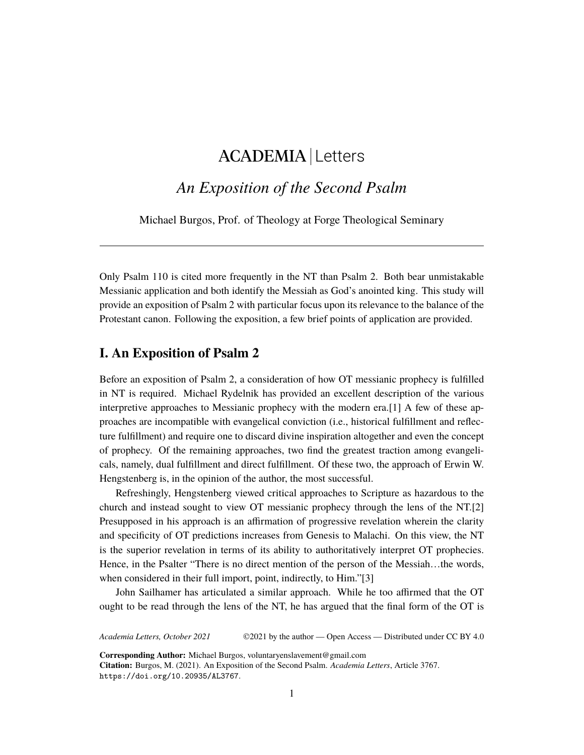# ACADEMIA Letters

## *An Exposition of the Second Psalm*

Michael Burgos, Prof. of Theology at Forge Theological Seminary

Only Psalm 110 is cited more frequently in the NT than Psalm 2. Both bear unmistakable Messianic application and both identify the Messiah as God's anointed king. This study will provide an exposition of Psalm 2 with particular focus upon its relevance to the balance of the Protestant canon. Following the exposition, a few brief points of application are provided.

#### **I. An Exposition of Psalm 2**

Before an exposition of Psalm 2, a consideration of how OT messianic prophecy is fulfilled in NT is required. Michael Rydelnik has provided an excellent description of the various interpretive approaches to Messianic prophecy with the modern era.[1] A few of these approaches are incompatible with evangelical conviction (i.e., historical fulfillment and reflecture fulfillment) and require one to discard divine inspiration altogether and even the concept of prophecy. Of the remaining approaches, two find the greatest traction among evangelicals, namely, dual fulfillment and direct fulfillment. Of these two, the approach of Erwin W. Hengstenberg is, in the opinion of the author, the most successful.

Refreshingly, Hengstenberg viewed critical approaches to Scripture as hazardous to the church and instead sought to view OT messianic prophecy through the lens of the NT.[2] Presupposed in his approach is an affirmation of progressive revelation wherein the clarity and specificity of OT predictions increases from Genesis to Malachi. On this view, the NT is the superior revelation in terms of its ability to authoritatively interpret OT prophecies. Hence, in the Psalter "There is no direct mention of the person of the Messiah…the words, when considered in their full import, point, indirectly, to Him."[3]

John Sailhamer has articulated a similar approach. While he too affirmed that the OT ought to be read through the lens of the NT, he has argued that the final form of the OT is

*Academia Letters, October 2021* ©2021 by the author — Open Access — Distributed under CC BY 4.0

**Corresponding Author:** Michael Burgos, voluntaryenslavement@gmail.com

**Citation:** Burgos, M. (2021). An Exposition of the Second Psalm. *Academia Letters*, Article 3767. <https://doi.org/10.20935/AL3767>.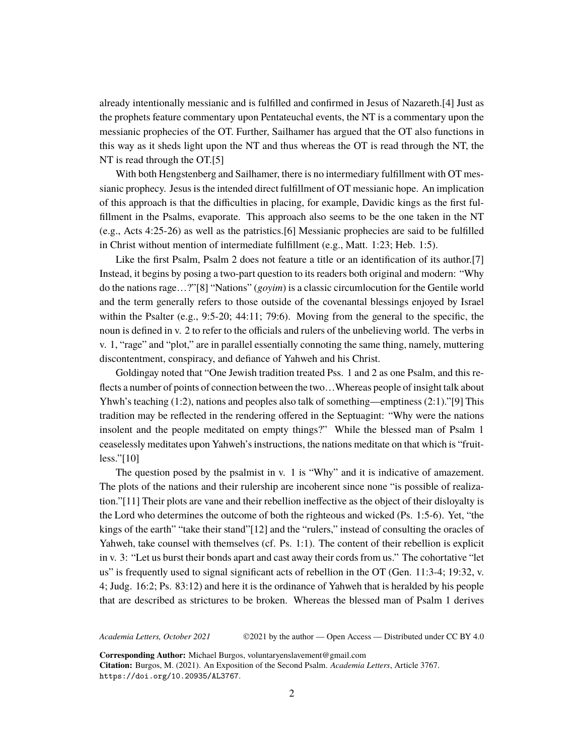already intentionally messianic and is fulfilled and confirmed in Jesus of Nazareth.[4] Just as the prophets feature commentary upon Pentateuchal events, the NT is a commentary upon the messianic prophecies of the OT. Further, Sailhamer has argued that the OT also functions in this way as it sheds light upon the NT and thus whereas the OT is read through the NT, the NT is read through the OT.[5]

With both Hengstenberg and Sailhamer, there is no intermediary fulfillment with OT messianic prophecy. Jesus is the intended direct fulfillment of OT messianic hope. An implication of this approach is that the difficulties in placing, for example, Davidic kings as the first fulfillment in the Psalms, evaporate. This approach also seems to be the one taken in the NT (e.g., Acts 4:25-26) as well as the patristics.[6] Messianic prophecies are said to be fulfilled in Christ without mention of intermediate fulfillment (e.g., Matt. 1:23; Heb. 1:5).

Like the first Psalm, Psalm 2 does not feature a title or an identification of its author.[7] Instead, it begins by posing a two-part question to its readers both original and modern: "Why do the nations rage…?"[8] "Nations" (*goyim*) is a classic circumlocution for the Gentile world and the term generally refers to those outside of the covenantal blessings enjoyed by Israel within the Psalter (e.g., 9:5-20; 44:11; 79:6). Moving from the general to the specific, the noun is defined in v. 2 to refer to the officials and rulers of the unbelieving world. The verbs in v. 1, "rage" and "plot," are in parallel essentially connoting the same thing, namely, muttering discontentment, conspiracy, and defiance of Yahweh and his Christ.

Goldingay noted that "One Jewish tradition treated Pss. 1 and 2 as one Psalm, and this reflects a number of points of connection between the two…Whereas people of insight talk about Yhwh's teaching (1:2), nations and peoples also talk of something—emptiness (2:1)."[9] This tradition may be reflected in the rendering offered in the Septuagint: "Why were the nations insolent and the people meditated on empty things?" While the blessed man of Psalm 1 ceaselessly meditates upon Yahweh's instructions, the nations meditate on that which is "fruitless."[10]

The question posed by the psalmist in v. 1 is "Why" and it is indicative of amazement. The plots of the nations and their rulership are incoherent since none "is possible of realization."[11] Their plots are vane and their rebellion ineffective as the object of their disloyalty is the Lord who determines the outcome of both the righteous and wicked (Ps. 1:5-6). Yet, "the kings of the earth" "take their stand"[12] and the "rulers," instead of consulting the oracles of Yahweh, take counsel with themselves (cf. Ps. 1:1). The content of their rebellion is explicit in v. 3: "Let us burst their bonds apart and cast away their cords from us." The cohortative "let us" is frequently used to signal significant acts of rebellion in the OT (Gen. 11:3-4; 19:32, v. 4; Judg. 16:2; Ps. 83:12) and here it is the ordinance of Yahweh that is heralded by his people that are described as strictures to be broken. Whereas the blessed man of Psalm 1 derives

*Academia Letters, October 2021* ©2021 by the author — Open Access — Distributed under CC BY 4.0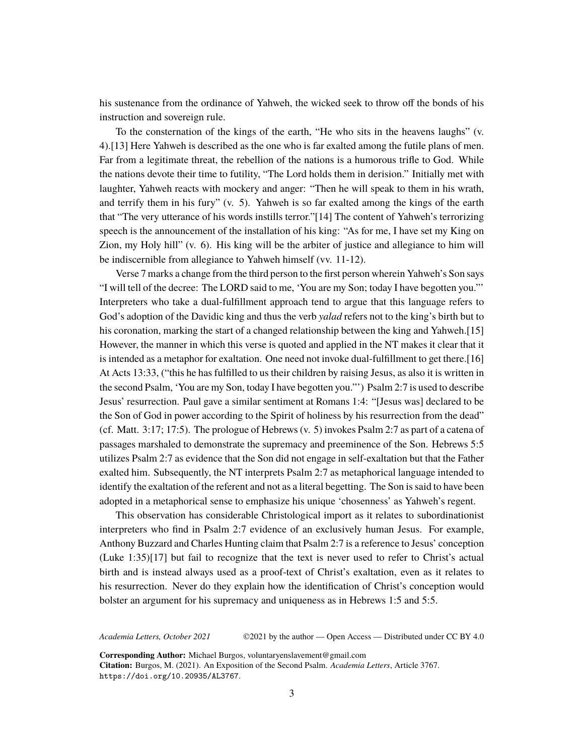his sustenance from the ordinance of Yahweh, the wicked seek to throw off the bonds of his instruction and sovereign rule.

To the consternation of the kings of the earth, "He who sits in the heavens laughs" (v. 4).[13] Here Yahweh is described as the one who is far exalted among the futile plans of men. Far from a legitimate threat, the rebellion of the nations is a humorous trifle to God. While the nations devote their time to futility, "The Lord holds them in derision." Initially met with laughter, Yahweh reacts with mockery and anger: "Then he will speak to them in his wrath, and terrify them in his fury" (v. 5). Yahweh is so far exalted among the kings of the earth that "The very utterance of his words instills terror."[14] The content of Yahweh's terrorizing speech is the announcement of the installation of his king: "As for me, I have set my King on Zion, my Holy hill" (v. 6). His king will be the arbiter of justice and allegiance to him will be indiscernible from allegiance to Yahweh himself (vv. 11-12).

Verse 7 marks a change from the third person to the first person wherein Yahweh's Son says "I will tell of the decree: The LORD said to me, 'You are my Son; today I have begotten you."' Interpreters who take a dual-fulfillment approach tend to argue that this language refers to God's adoption of the Davidic king and thus the verb *yalad* refers not to the king's birth but to his coronation, marking the start of a changed relationship between the king and Yahweh.[15] However, the manner in which this verse is quoted and applied in the NT makes it clear that it is intended as a metaphor for exaltation. One need not invoke dual-fulfillment to get there.[16] At Acts 13:33, ("this he has fulfilled to us their children by raising Jesus, as also it is written in the second Psalm, 'You are my Son, today I have begotten you."') Psalm 2:7 is used to describe Jesus' resurrection. Paul gave a similar sentiment at Romans 1:4: "[Jesus was] declared to be the Son of God in power according to the Spirit of holiness by his resurrection from the dead" (cf. Matt. 3:17; 17:5). The prologue of Hebrews (v. 5) invokes Psalm 2:7 as part of a catena of passages marshaled to demonstrate the supremacy and preeminence of the Son. Hebrews 5:5 utilizes Psalm 2:7 as evidence that the Son did not engage in self-exaltation but that the Father exalted him. Subsequently, the NT interprets Psalm 2:7 as metaphorical language intended to identify the exaltation of the referent and not as a literal begetting. The Son is said to have been adopted in a metaphorical sense to emphasize his unique 'chosenness' as Yahweh's regent.

This observation has considerable Christological import as it relates to subordinationist interpreters who find in Psalm 2:7 evidence of an exclusively human Jesus. For example, Anthony Buzzard and Charles Hunting claim that Psalm 2:7 is a reference to Jesus' conception (Luke 1:35)[17] but fail to recognize that the text is never used to refer to Christ's actual birth and is instead always used as a proof-text of Christ's exaltation, even as it relates to his resurrection. Never do they explain how the identification of Christ's conception would bolster an argument for his supremacy and uniqueness as in Hebrews 1:5 and 5:5.

*Academia Letters, October 2021* ©2021 by the author — Open Access — Distributed under CC BY 4.0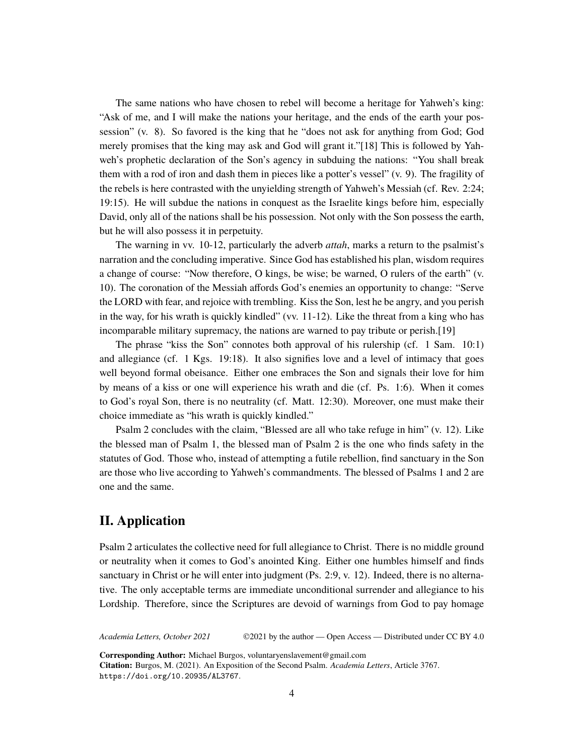The same nations who have chosen to rebel will become a heritage for Yahweh's king: "Ask of me, and I will make the nations your heritage, and the ends of the earth your possession" (v. 8). So favored is the king that he "does not ask for anything from God; God merely promises that the king may ask and God will grant it."[18] This is followed by Yahweh's prophetic declaration of the Son's agency in subduing the nations: "You shall break them with a rod of iron and dash them in pieces like a potter's vessel" (v. 9). The fragility of the rebels is here contrasted with the unyielding strength of Yahweh's Messiah (cf. Rev. 2:24; 19:15). He will subdue the nations in conquest as the Israelite kings before him, especially David, only all of the nations shall be his possession. Not only with the Son possess the earth, but he will also possess it in perpetuity.

The warning in vv. 10-12, particularly the adverb *attah*, marks a return to the psalmist's narration and the concluding imperative. Since God has established his plan, wisdom requires a change of course: "Now therefore, O kings, be wise; be warned, O rulers of the earth" (v. 10). The coronation of the Messiah affords God's enemies an opportunity to change: "Serve the LORD with fear, and rejoice with trembling. Kiss the Son, lest he be angry, and you perish in the way, for his wrath is quickly kindled" (vv.  $11-12$ ). Like the threat from a king who has incomparable military supremacy, the nations are warned to pay tribute or perish.[19]

The phrase "kiss the Son" connotes both approval of his rulership (cf. 1 Sam. 10:1) and allegiance (cf. 1 Kgs. 19:18). It also signifies love and a level of intimacy that goes well beyond formal obeisance. Either one embraces the Son and signals their love for him by means of a kiss or one will experience his wrath and die (cf. Ps. 1:6). When it comes to God's royal Son, there is no neutrality (cf. Matt. 12:30). Moreover, one must make their choice immediate as "his wrath is quickly kindled."

Psalm 2 concludes with the claim, "Blessed are all who take refuge in him" (v. 12). Like the blessed man of Psalm 1, the blessed man of Psalm 2 is the one who finds safety in the statutes of God. Those who, instead of attempting a futile rebellion, find sanctuary in the Son are those who live according to Yahweh's commandments. The blessed of Psalms 1 and 2 are one and the same.

### **II. Application**

Psalm 2 articulates the collective need for full allegiance to Christ. There is no middle ground or neutrality when it comes to God's anointed King. Either one humbles himself and finds sanctuary in Christ or he will enter into judgment (Ps. 2:9, v. 12). Indeed, there is no alternative. The only acceptable terms are immediate unconditional surrender and allegiance to his Lordship. Therefore, since the Scriptures are devoid of warnings from God to pay homage

*Academia Letters, October 2021* ©2021 by the author — Open Access — Distributed under CC BY 4.0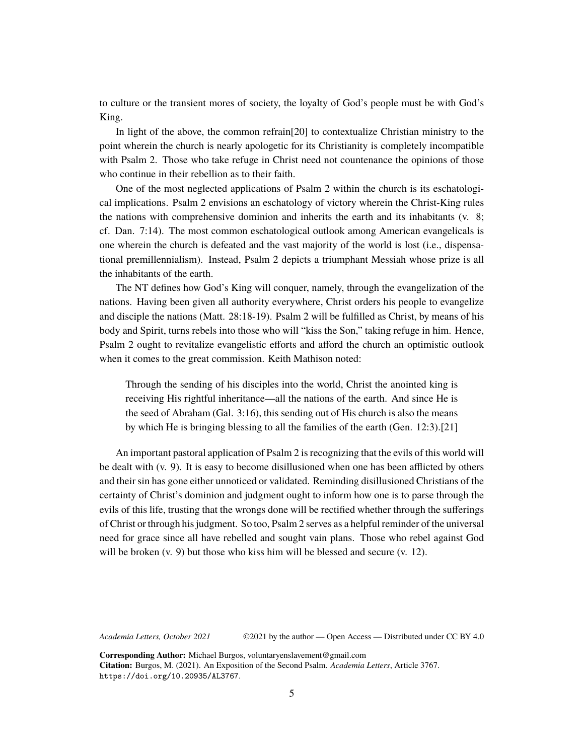to culture or the transient mores of society, the loyalty of God's people must be with God's King.

In light of the above, the common refrain[20] to contextualize Christian ministry to the point wherein the church is nearly apologetic for its Christianity is completely incompatible with Psalm 2. Those who take refuge in Christ need not countenance the opinions of those who continue in their rebellion as to their faith.

One of the most neglected applications of Psalm 2 within the church is its eschatological implications. Psalm 2 envisions an eschatology of victory wherein the Christ-King rules the nations with comprehensive dominion and inherits the earth and its inhabitants (v. 8; cf. Dan. 7:14). The most common eschatological outlook among American evangelicals is one wherein the church is defeated and the vast majority of the world is lost (i.e., dispensational premillennialism). Instead, Psalm 2 depicts a triumphant Messiah whose prize is all the inhabitants of the earth.

The NT defines how God's King will conquer, namely, through the evangelization of the nations. Having been given all authority everywhere, Christ orders his people to evangelize and disciple the nations (Matt. 28:18-19). Psalm 2 will be fulfilled as Christ, by means of his body and Spirit, turns rebels into those who will "kiss the Son," taking refuge in him. Hence, Psalm 2 ought to revitalize evangelistic efforts and afford the church an optimistic outlook when it comes to the great commission. Keith Mathison noted:

Through the sending of his disciples into the world, Christ the anointed king is receiving His rightful inheritance—all the nations of the earth. And since He is the seed of Abraham (Gal. 3:16), this sending out of His church is also the means by which He is bringing blessing to all the families of the earth (Gen. 12:3).[21]

An important pastoral application of Psalm 2 is recognizing that the evils of this world will be dealt with (v. 9). It is easy to become disillusioned when one has been afflicted by others and their sin has gone either unnoticed or validated. Reminding disillusioned Christians of the certainty of Christ's dominion and judgment ought to inform how one is to parse through the evils of this life, trusting that the wrongs done will be rectified whether through the sufferings of Christ or through his judgment. So too, Psalm 2 serves as a helpful reminder of the universal need for grace since all have rebelled and sought vain plans. Those who rebel against God will be broken  $(v, 9)$  but those who kiss him will be blessed and secure  $(v, 12)$ .

*Academia Letters, October 2021* ©2021 by the author — Open Access — Distributed under CC BY 4.0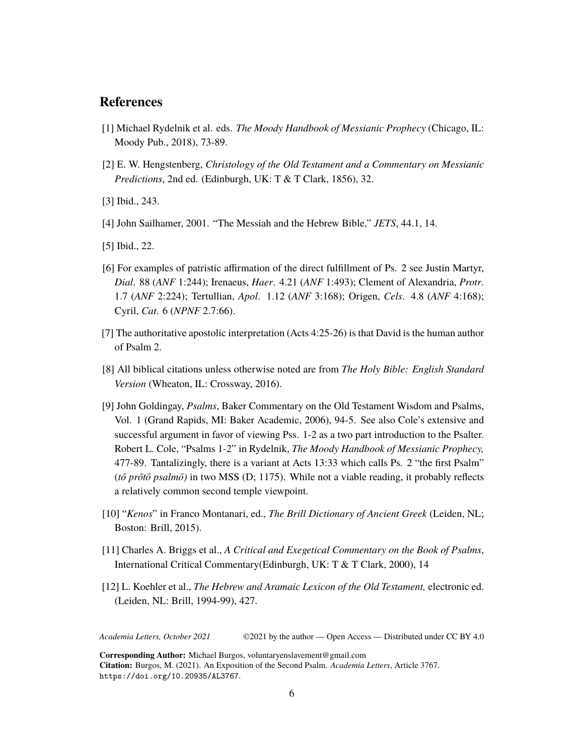#### **References**

- [1] Michael Rydelnik et al. eds. *The Moody Handbook of Messianic Prophecy* (Chicago, IL: Moody Pub., 2018), 73-89.
- [2] E. W. Hengstenberg, *Christology of the Old Testament and a Commentary on Messianic Predictions*, 2nd ed. (Edinburgh, UK: T & T Clark, 1856), 32.
- [3] Ibid., 243.
- [4] John Sailhamer, 2001. "The Messiah and the Hebrew Bible," *JETS*, 44.1, 14.
- [5] Ibid., 22.
- [6] For examples of patristic affirmation of the direct fulfillment of Ps. 2 see Justin Martyr, *Dial*. 88 (*ANF* 1:244); Irenaeus, *Haer*. 4.21 (*ANF* 1:493); Clement of Alexandria, *Protr*. 1.7 (*ANF* 2:224); Tertullian, *Apol*. 1.12 (*ANF* 3:168); Origen, *Cels*. 4.8 (*ANF* 4:168); Cyril, *Cat*. 6 (*NPNF* 2.7:66).
- [7] The authoritative apostolic interpretation (Acts 4:25-26) is that David is the human author of Psalm 2.
- [8] All biblical citations unless otherwise noted are from *The Holy Bible: English Standard Version* (Wheaton, IL: Crossway, 2016).
- [9] John Goldingay, *Psalms*, Baker Commentary on the Old Testament Wisdom and Psalms, Vol. 1 (Grand Rapids, MI: Baker Academic, 2006), 94-5. See also Cole's extensive and successful argument in favor of viewing Pss. 1-2 as a two part introduction to the Psalter. Robert L. Cole, "Psalms 1-2" in Rydelnik, *The Moody Handbook of Messianic Prophecy,* 477-89. Tantalizingly, there is a variant at Acts 13:33 which calls Ps. 2 "the first Psalm" (*tō prōtō psalmō)* in two MSS (D; 1175). While not a viable reading, it probably reflects a relatively common second temple viewpoint.
- [10] "*Kenos*" in Franco Montanari, ed., *The Brill Dictionary of Ancient Greek* (Leiden, NL; Boston: Brill, 2015).
- [11] Charles A. Briggs et al., *A Critical and Exegetical Commentary on the Book of Psalms*, International Critical Commentary(Edinburgh, UK: T & T Clark, 2000), 14
- [12] L. Koehler et al., *The Hebrew and Aramaic Lexicon of the Old Testament,* electronic ed. (Leiden, NL: Brill, 1994-99), 427.

*Academia Letters, October 2021* ©2021 by the author — Open Access — Distributed under CC BY 4.0

**Corresponding Author:** Michael Burgos, voluntaryenslavement@gmail.com **Citation:** Burgos, M. (2021). An Exposition of the Second Psalm. *Academia Letters*, Article 3767. <https://doi.org/10.20935/AL3767>.